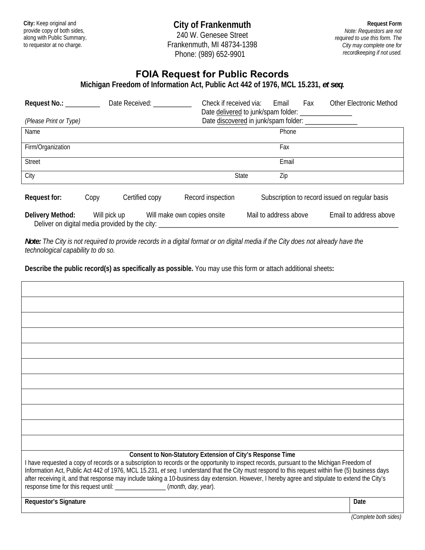**City:** Keep original and provide copy of both sides, along with Public Summary, to requestor at no charge.

**City of Frankenmuth** 

240 W. Genesee Street Frankenmuth, MI 48734-1398 Phone: (989) 652-9901

**Request Form** *Note: Requestors are not required to use this form. The City may complete one for recordkeeping if not used.*

## **FOIA Request for Public Records**

**Michigan Freedom of Information Act, Public Act 442 of 1976, MCL 15.231,** *et seq***.** 

| Request No.: $\_\_$<br>(Please Print or Type) |              | Date Received:                                 | Check if received via:      | Email<br>Date discovered in junk/spam folder: ________________ | Fax | <b>Other Electronic Method</b>                 |
|-----------------------------------------------|--------------|------------------------------------------------|-----------------------------|----------------------------------------------------------------|-----|------------------------------------------------|
|                                               |              |                                                |                             |                                                                |     |                                                |
| Name                                          |              |                                                |                             | Phone                                                          |     |                                                |
| Firm/Organization                             |              |                                                |                             | Fax                                                            |     |                                                |
| <b>Street</b>                                 |              |                                                |                             | Email                                                          |     |                                                |
| City                                          |              |                                                | <b>State</b>                | Zip                                                            |     |                                                |
| Request for:                                  | Copy         | Certified copy                                 | Record inspection           |                                                                |     | Subscription to record issued on regular basis |
| Delivery Method:                              | Will pick up | Deliver on digital media provided by the city: | Will make own copies onsite | Mail to address above                                          |     | Email to address above                         |

*Note: The City is not required to provide records in a digital format or on digital media if the City does not already have the technological capability to do so.* 

**Describe the public record(s) as specifically as possible.** You may use this form or attach additional sheets**:** 

| Consent to Non-Statutory Extension of City's Response Time<br>I have requested a copy of records or a subscription to records or the opportunity to inspect records, pursuant to the Michigan Freedom of<br>Information Act, Public Act 442 of 1976, MCL 15.231, et seq. I understand that the City must respond to this request within five (5) business days<br>after receiving it, and that response may include taking a 10-business day extension. However, I hereby agree and stipulate to extend the City's<br>response time for this request until: _________________(month, day, year). |      |  |  |  |
|--------------------------------------------------------------------------------------------------------------------------------------------------------------------------------------------------------------------------------------------------------------------------------------------------------------------------------------------------------------------------------------------------------------------------------------------------------------------------------------------------------------------------------------------------------------------------------------------------|------|--|--|--|
| Requestor's Signature                                                                                                                                                                                                                                                                                                                                                                                                                                                                                                                                                                            | Date |  |  |  |